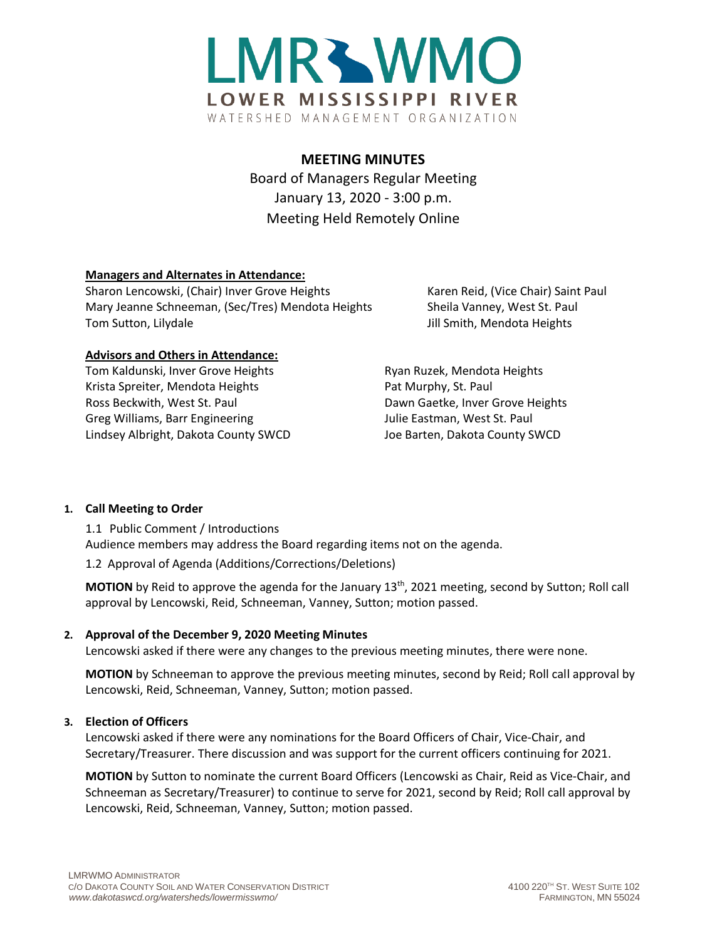

# **MEETING MINUTES**

Board of Managers Regular Meeting January 13, 2020 - 3:00 p.m. Meeting Held Remotely Online

# **Managers and Alternates in Attendance:**

Sharon Lencowski, (Chair) Inver Grove Heights Karen Reid, (Vice Chair) Saint Paul Mary Jeanne Schneeman, (Sec/Tres) Mendota Heights Sheila Vanney, West St. Paul Tom Sutton, Lilydale Jill Smith, Mendota Heights

## **Advisors and Others in Attendance:**

Tom Kaldunski, Inver Grove Heights **Ryan Ruzek, Mendota Heights** Krista Spreiter, Mendota Heights Pat Murphy, St. Paul Ross Beckwith, West St. Paul Dawn Gaetke, Inver Grove Heights Greg Williams, Barr Engineering The Music St. Paul Julie Eastman, West St. Paul Lindsey Albright, Dakota County SWCD Joe Barten, Dakota County SWCD

## **1. Call Meeting to Order**

1.1 Public Comment / Introductions Audience members may address the Board regarding items not on the agenda.

1.2 Approval of Agenda (Additions/Corrections/Deletions)

**MOTION** by Reid to approve the agenda for the January 13<sup>th</sup>, 2021 meeting, second by Sutton; Roll call approval by Lencowski, Reid, Schneeman, Vanney, Sutton; motion passed.

## **2. Approval of the December 9, 2020 Meeting Minutes**

Lencowski asked if there were any changes to the previous meeting minutes, there were none.

**MOTION** by Schneeman to approve the previous meeting minutes, second by Reid; Roll call approval by Lencowski, Reid, Schneeman, Vanney, Sutton; motion passed.

## **3. Election of Officers**

Lencowski asked if there were any nominations for the Board Officers of Chair, Vice-Chair, and Secretary/Treasurer. There discussion and was support for the current officers continuing for 2021.

**MOTION** by Sutton to nominate the current Board Officers (Lencowski as Chair, Reid as Vice-Chair, and Schneeman as Secretary/Treasurer) to continue to serve for 2021, second by Reid; Roll call approval by Lencowski, Reid, Schneeman, Vanney, Sutton; motion passed.